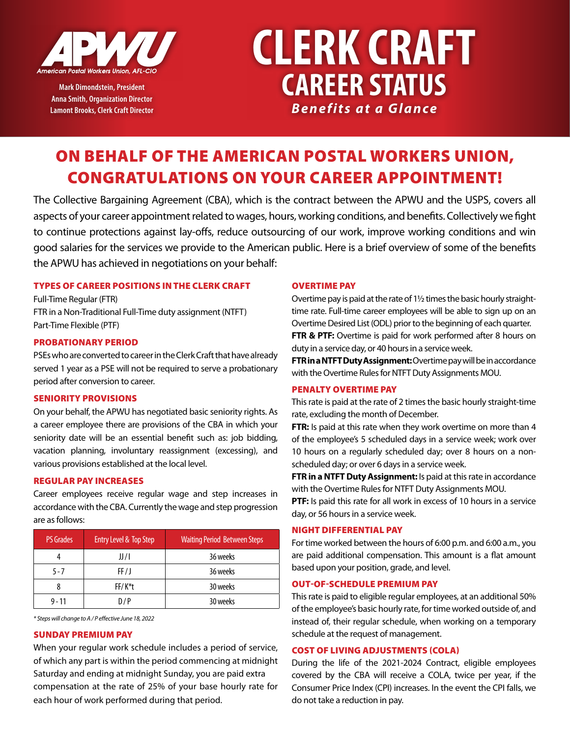

**Mark Dimondstein, President Anna Smith, Organization Director Lamont Brooks, Clerk Craft Director**

# **CLERK CRAFT CAREER STATUS** *Benefits at a Glance*

# ON BEHALF OF THE AMERICAN POSTAL WORKERS UNION, CONGRATULATIONS ON YOUR CAREER APPOINTMENT!

The Collective Bargaining Agreement (CBA), which is the contract between the APWU and the USPS, covers all aspects of your career appointment related to wages, hours, working conditions, and benefits. Collectively we fight to continue protections against lay-offs, reduce outsourcing of our work, improve working conditions and win good salaries for the services we provide to the American public. Here is a brief overview of some of the benefits the APWU has achieved in negotiations on your behalf:

# TYPES OF CAREER POSITIONS IN THE CLERK CRAFT

Full-Time Regular (FTR) FTR in a Non-Traditional Full-Time duty assignment (NTFT) Part-Time Flexible (PTF)

# PROBATIONARY PERIOD

PSEs who are converted to career in the Clerk Craft that have already served 1 year as a PSE will not be required to serve a probationary period after conversion to career.

# SENIORITY PROVISIONS

On your behalf, the APWU has negotiated basic seniority rights. As a career employee there are provisions of the CBA in which your seniority date will be an essential benefit such as: job bidding, vacation planning, involuntary reassignment (excessing), and various provisions established at the local level.

# REGULAR PAY INCREASES

Career employees receive regular wage and step increases in accordance with the CBA. Currently the wage and step progression are as follows:

| <b>PS Grades</b> | Entry Level & Top Step | <b>Waiting Period Between Steps</b> |
|------------------|------------------------|-------------------------------------|
|                  | JJ/I                   | 36 weeks                            |
| $5 - 7$          | FF/J                   | 36 weeks                            |
|                  | FF/K <sup>*</sup> t    | 30 weeks                            |
| $9 - 11$         | D/P                    | 30 weeks                            |

*\* Steps will change to A / P effective June 18, 2022*

# SUNDAY PREMIUM PAY

When your regular work schedule includes a period of service, of which any part is within the period commencing at midnight Saturday and ending at midnight Sunday, you are paid extra compensation at the rate of 25% of your base hourly rate for each hour of work performed during that period.

# OVERTIME PAY

Overtime pay is paid at the rate of 1½ times the basic hourly straighttime rate. Full-time career employees will be able to sign up on an Overtime Desired List (ODL) prior to the beginning of each quarter. **FTR & PTF:** Overtime is paid for work performed after 8 hours on duty in a service day, or 40 hours in a service week.

**FTR in a NTFT Duty Assignment:** Overtime pay will be in accordance with the Overtime Rules for NTFT Duty Assignments MOU.

# PENALTY OVERTIME PAY

This rate is paid at the rate of 2 times the basic hourly straight-time rate, excluding the month of December.

**FTR:** Is paid at this rate when they work overtime on more than 4 of the employee's 5 scheduled days in a service week; work over 10 hours on a regularly scheduled day; over 8 hours on a nonscheduled day; or over 6 days in a service week.

**FTR in a NTFT Duty Assignment:** Is paid at this rate in accordance with the Overtime Rules for NTFT Duty Assignments MOU.

**PTF:** Is paid this rate for all work in excess of 10 hours in a service day, or 56 hours in a service week.

# NIGHT DIFFERENTIAL PAY

For time worked between the hours of 6:00 p.m. and 6:00 a.m., you are paid additional compensation. This amount is a flat amount based upon your position, grade, and level.

# OUT-OF-SCHEDULE PREMIUM PAY

This rate is paid to eligible regular employees, at an additional 50% of the employee's basic hourly rate, for time worked outside of, and instead of, their regular schedule, when working on a temporary schedule at the request of management.

# COST OF LIVING ADJUSTMENTS (COLA)

During the life of the 2021-2024 Contract, eligible employees covered by the CBA will receive a COLA, twice per year, if the Consumer Price Index (CPI) increases. In the event the CPI falls, we do not take a reduction in pay.